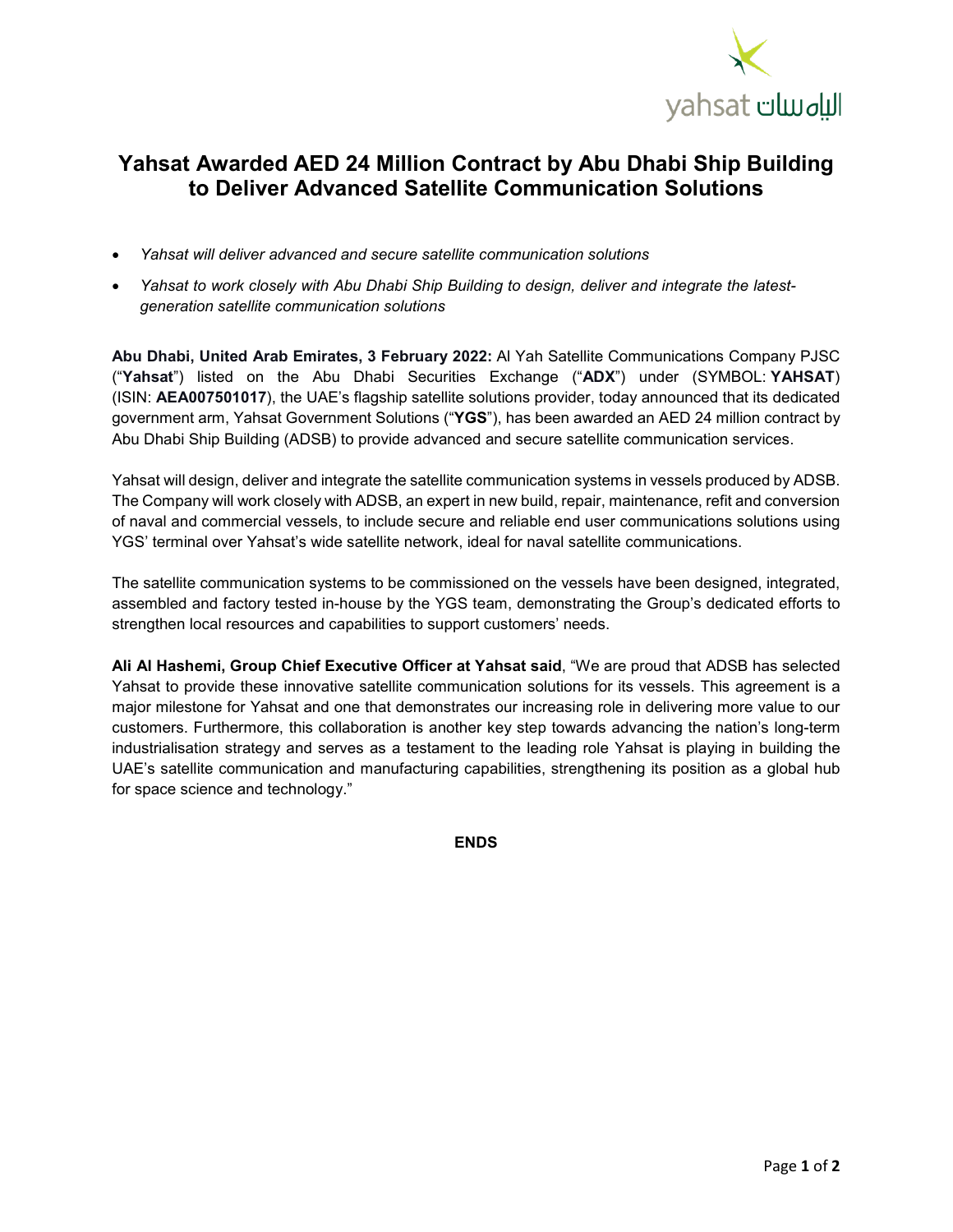

## **Yahsat Awarded AED 24 Million Contract by Abu Dhabi Ship Building to Deliver Advanced Satellite Communication Solutions**

- *Yahsat will deliver advanced and secure satellite communication solutions*
- *Yahsat to work closely with Abu Dhabi Ship Building to design, deliver and integrate the latestgeneration satellite communication solutions*

**Abu Dhabi, United Arab Emirates, 3 February 2022:** Al Yah Satellite Communications Company PJSC ("**Yahsat**") listed on the Abu Dhabi Securities Exchange ("**ADX**") under (SYMBOL: **YAHSAT**) (ISIN: **AEA007501017**), the UAE's flagship satellite solutions provider, today announced that its dedicated government arm, Yahsat Government Solutions ("**YGS**"), has been awarded an AED 24 million contract by Abu Dhabi Ship Building (ADSB) to provide advanced and secure satellite communication services.

Yahsat will design, deliver and integrate the satellite communication systems in vessels produced by ADSB. The Company will work closely with ADSB, an expert in new build, repair, maintenance, refit and conversion of naval and commercial vessels, to include secure and reliable end user communications solutions using YGS' terminal over Yahsat's wide satellite network, ideal for naval satellite communications.

The satellite communication systems to be commissioned on the vessels have been designed, integrated, assembled and factory tested in-house by the YGS team, demonstrating the Group's dedicated efforts to strengthen local resources and capabilities to support customers' needs.

**Ali Al Hashemi, Group Chief Executive Officer at Yahsat said**, "We are proud that ADSB has selected Yahsat to provide these innovative satellite communication solutions for its vessels. This agreement is a major milestone for Yahsat and one that demonstrates our increasing role in delivering more value to our customers. Furthermore, this collaboration is another key step towards advancing the nation's long-term industrialisation strategy and serves as a testament to the leading role Yahsat is playing in building the UAE's satellite communication and manufacturing capabilities, strengthening its position as a global hub for space science and technology."

**ENDS**